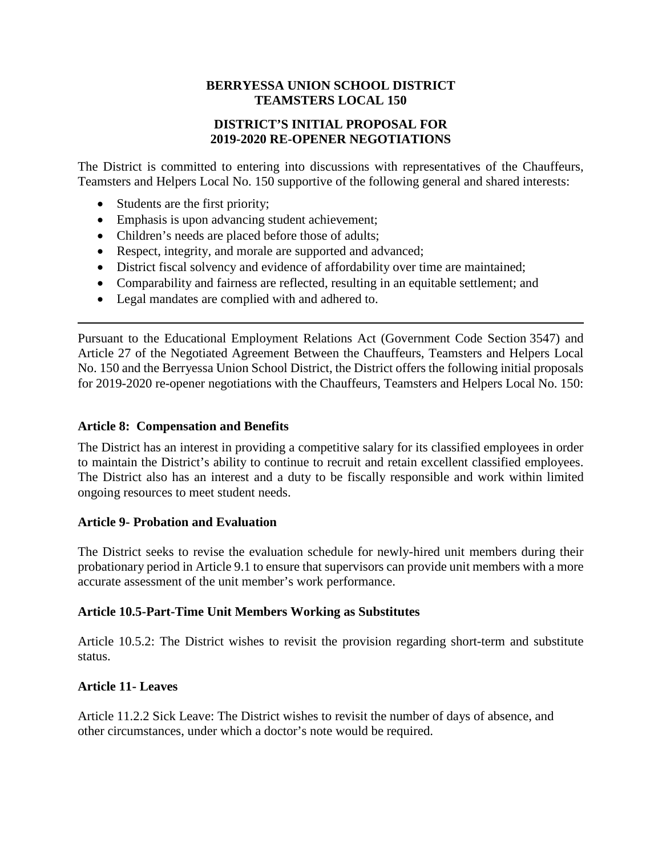## **BERRYESSA UNION SCHOOL DISTRICT TEAMSTERS LOCAL 150**

# **DISTRICT'S INITIAL PROPOSAL FOR 2019-2020 RE-OPENER NEGOTIATIONS**

The District is committed to entering into discussions with representatives of the Chauffeurs, Teamsters and Helpers Local No. 150 supportive of the following general and shared interests:

- Students are the first priority;
- Emphasis is upon advancing student achievement;
- Children's needs are placed before those of adults;
- Respect, integrity, and morale are supported and advanced;
- District fiscal solvency and evidence of affordability over time are maintained;
- Comparability and fairness are reflected, resulting in an equitable settlement; and
- Legal mandates are complied with and adhered to.

Pursuant to the Educational Employment Relations Act (Government Code Section 3547) and Article 27 of the Negotiated Agreement Between the Chauffeurs, Teamsters and Helpers Local No. 150 and the Berryessa Union School District, the District offers the following initial proposals for 2019-2020 re-opener negotiations with the Chauffeurs, Teamsters and Helpers Local No. 150:

#### **Article 8: Compensation and Benefits**

The District has an interest in providing a competitive salary for its classified employees in order to maintain the District's ability to continue to recruit and retain excellent classified employees. The District also has an interest and a duty to be fiscally responsible and work within limited ongoing resources to meet student needs.

### **Article 9- Probation and Evaluation**

The District seeks to revise the evaluation schedule for newly-hired unit members during their probationary period in Article 9.1 to ensure that supervisors can provide unit members with a more accurate assessment of the unit member's work performance.

### **Article 10.5-Part-Time Unit Members Working as Substitutes**

Article 10.5.2: The District wishes to revisit the provision regarding short-term and substitute status.

### **Article 11- Leaves**

Article 11.2.2 Sick Leave: The District wishes to revisit the number of days of absence, and other circumstances, under which a doctor's note would be required.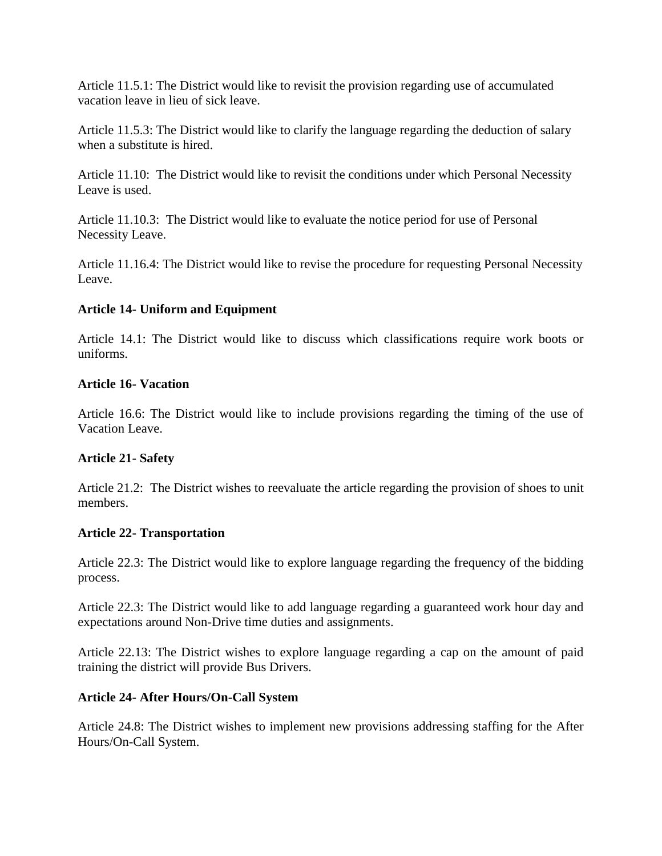Article 11.5.1: The District would like to revisit the provision regarding use of accumulated vacation leave in lieu of sick leave.

Article 11.5.3: The District would like to clarify the language regarding the deduction of salary when a substitute is hired.

Article 11.10: The District would like to revisit the conditions under which Personal Necessity Leave is used.

Article 11.10.3: The District would like to evaluate the notice period for use of Personal Necessity Leave.

Article 11.16.4: The District would like to revise the procedure for requesting Personal Necessity Leave.

# **Article 14- Uniform and Equipment**

Article 14.1: The District would like to discuss which classifications require work boots or uniforms.

## **Article 16- Vacation**

Article 16.6: The District would like to include provisions regarding the timing of the use of Vacation Leave.

# **Article 21- Safety**

Article 21.2: The District wishes to reevaluate the article regarding the provision of shoes to unit members.

### **Article 22- Transportation**

Article 22.3: The District would like to explore language regarding the frequency of the bidding process.

Article 22.3: The District would like to add language regarding a guaranteed work hour day and expectations around Non-Drive time duties and assignments.

Article 22.13: The District wishes to explore language regarding a cap on the amount of paid training the district will provide Bus Drivers.

# **Article 24- After Hours/On-Call System**

Article 24.8: The District wishes to implement new provisions addressing staffing for the After Hours/On-Call System.